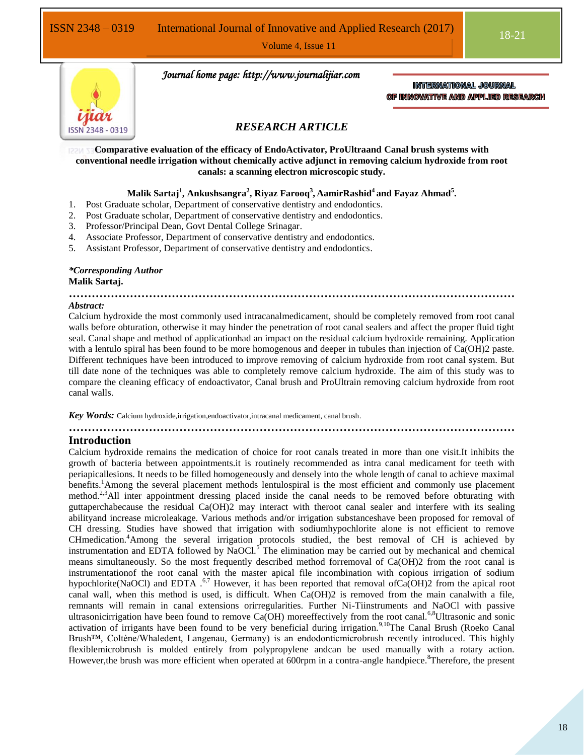Volume 4, Issue 11



 *Journal home page: http://www.journalijiar.com*

INTERNATIONAL JOURNAL OF INNOVATIVE AND APPLIED RESEARCH

## *RESEARCH ARTICLE*

**Comparative evaluation of the efficacy of EndoActivator, ProUltraand Canal brush systems with conventional needle irrigation without chemically active adjunct in removing calcium hydroxide from root canals: a scanning electron microscopic study.**

## **Malik Sartaj<sup>1</sup> , Ankushsangra<sup>2</sup> , Riyaz Farooq<sup>3</sup> , AamirRashid<sup>4</sup>and Fayaz Ahmad<sup>5</sup> .**

- 1. Post Graduate scholar, Department of conservative dentistry and endodontics.
- 2. Post Graduate scholar, Department of conservative dentistry and endodontics.
- 3. Professor/Principal Dean, Govt Dental College Srinagar.
- 4. Associate Professor, Department of conservative dentistry and endodontics.
- 5. Assistant Professor, Department of conservative dentistry and endodontics.

## *\*Corresponding Author*

# **Malik Sartaj.**

#### **………………………………………………………………………………………………………** *Abstract:*

Calcium hydroxide the most commonly used intracanalmedicament, should be completely removed from root canal walls before obturation, otherwise it may hinder the penetration of root canal sealers and affect the proper fluid tight seal. Canal shape and method of applicationhad an impact on the residual calcium hydroxide remaining. Application with a lentulo spiral has been found to be more homogenous and deeper in tubules than injection of Ca(OH)2 paste. Different techniques have been introduced to improve removing of calcium hydroxide from root canal system. But till date none of the techniques was able to completely remove calcium hydroxide. The aim of this study was to compare the cleaning efficacy of endoactivator, Canal brush and ProUltrain removing calcium hydroxide from root canal walls.

*Key Words:* Calcium hydroxide,irrigation,endoactivator,intracanal medicament, canal brush.

# **………………………………………………………………………………………………………**

## **Introduction**

Calcium hydroxide remains the medication of choice for root canals treated in more than one visit.It inhibits the growth of bacteria between appointments.it is routinely recommended as intra canal medicament for teeth with periapicallesions. It needs to be filled homogeneously and densely into the whole length of canal to achieve maximal benefits.<sup>1</sup>Among the several placement methods lentulospiral is the most efficient and commonly use placement method.<sup>2,3</sup>All inter appointment dressing placed inside the canal needs to be removed before obturating with guttaperchabecause the residual Ca(OH)2 may interact with theroot canal sealer and interfere with its sealing abilityand increase microleakage. Various methods and/or irrigation substanceshave been proposed for removal of CH dressing. Studies have showed that irrigation with sodiumhypochlorite alone is not efficient to remove CHmedication.<sup>4</sup>Among the several irrigation protocols studied, the best removal of CH is achieved by instrumentation and EDTA followed by NaOCl.<sup>5</sup> The elimination may be carried out by mechanical and chemical means simultaneously. So the most frequently described method forremoval of Ca(OH)2 from the root canal is instrumentationof the root canal with the master apical file incombination with copious irrigation of sodium hypochlorite(NaOCl) and EDTA  $.67$  However, it has been reported that removal ofCa(OH)2 from the apical root canal wall, when this method is used, is difficult. When Ca(OH)2 is removed from the main canalwith a file, remnants will remain in canal extensions orirregularities. Further Ni-Tiinstruments and NaOCl with passive ultrasonicirrigation have been found to remove Ca(OH) moreeffectively from the root canal.<sup>6,8</sup>Ultrasonic and sonic activation of irrigants have been found to be very beneficial during irrigation.<sup>9,10</sup>The Canal Brush (Roeko Canal Brush™, Coltène/Whaledent, Langenau, Germany) is an endodonticmicrobrush recently introduced. This highly flexiblemicrobrush is molded entirely from polypropylene andcan be used manually with a rotary action. However, the brush was more efficient when operated at 600rpm in a contra-angle handpiece.<sup>8</sup>Therefore, the present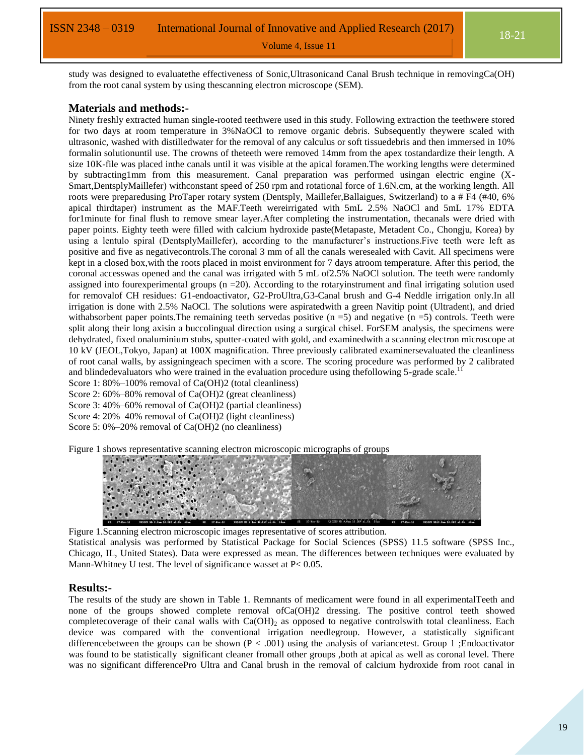Volume 4, Issue 11

study was designed to evaluatethe effectiveness of Sonic,Ultrasonicand Canal Brush technique in removingCa(OH) from the root canal system by using thescanning electron microscope (SEM).

#### **Materials and methods:-**

Ninety freshly extracted human single-rooted teethwere used in this study. Following extraction the teethwere stored for two days at room temperature in 3%NaOCl to remove organic debris. Subsequently theywere scaled with ultrasonic, washed with distilledwater for the removal of any calculus or soft tissuedebris and then immersed in 10% formalin solutionuntil use. The crowns of theteeth were removed 14mm from the apex tostandardize their length. A size 10K-file was placed inthe canals until it was visible at the apical foramen.The working lengths were determined by subtracting1mm from this measurement. Canal preparation was performed usingan electric engine (X-Smart,DentsplyMaillefer) withconstant speed of 250 rpm and rotational force of 1.6N.cm, at the working length. All roots were preparedusing ProTaper rotary system (Dentsply, Maillefer,Ballaigues, Switzerland) to a # F4 (#40, 6% apical thirdtaper) instrument as the MAF.Teeth wereirrigated with 5mL 2.5% NaOCl and 5mL 17% EDTA for1minute for final flush to remove smear layer.After completing the instrumentation, thecanals were dried with paper points. Eighty teeth were filled with calcium hydroxide paste(Metapaste, Metadent Co., Chongju, Korea) by using a lentulo spiral (DentsplyMaillefer), according to the manufacturer's instructions.Five teeth were left as positive and five as negativecontrols.The coronal 3 mm of all the canals weresealed with Cavit. All specimens were kept in a closed box,with the roots placed in moist environment for 7 days atroom temperature. After this period, the coronal accesswas opened and the canal was irrigated with 5 mL of2.5% NaOCl solution. The teeth were randomly assigned into four experimental groups  $(n = 20)$ . According to the rotaryinstrument and final irrigating solution used for removalof CH residues: G1-endoactivator, G2-ProUltra,G3-Canal brush and G-4 Neddle irrigation only.In all irrigation is done with 2.5% NaOCl. The solutions were aspiratedwith a green Navitip point (Ultradent), and dried withabsorbent paper points. The remaining teeth servedas positive ( $n = 5$ ) and negative ( $n = 5$ ) controls. Teeth were split along their long axisin a buccolingual direction using a surgical chisel. ForSEM analysis, the specimens were dehydrated, fixed onaluminium stubs, sputter-coated with gold, and examinedwith a scanning electron microscope at 10 kV (JEOL,Tokyo, Japan) at 100X magnification. Three previously calibrated examinersevaluated the cleanliness of root canal walls, by assigningeach specimen with a score. The scoring procedure was performed by 2 calibrated and blindedevaluators who were trained in the evaluation procedure using thefollowing 5-grade scale.<sup>1</sup>

Score 1: 80%–100% removal of Ca(OH)2 (total cleanliness)

Score 2: 60%–80% removal of Ca(OH)2 (great cleanliness)

Score 3: 40%–60% removal of Ca(OH)2 (partial cleanliness)

Score 4: 20%–40% removal of Ca(OH)2 (light cleanliness)

Score 5: 0%–20% removal of Ca(OH)2 (no cleanliness)

Figure 1 shows representative scanning electron microscopic micrographs of groups



Figure 1.Scanning electron microscopic images representative of scores attribution. Statistical analysis was performed by Statistical Package for Social Sciences (SPSS) 11.5 software (SPSS Inc., Chicago, IL, United States). Data were expressed as mean. The differences between techniques were evaluated by Mann-Whitney U test. The level of significance wasset at  $P < 0.05$ .

### **Results:-**

The results of the study are shown in Table 1. Remnants of medicament were found in all experimentalTeeth and none of the groups showed complete removal ofCa(OH)2 dressing. The positive control teeth showed completecoverage of their canal walls with  $Ca(OH)_2$  as opposed to negative controlswith total cleanliness. Each device was compared with the conventional irrigation needlegroup. However, a statistically significant differencebetween the groups can be shown  $(P < .001)$  using the analysis of variancetest. Group 1 ; Endoactivator was found to be statistically significant cleaner fromall other groups ,both at apical as well as coronal level. There was no significant differencePro Ultra and Canal brush in the removal of calcium hydroxide from root canal in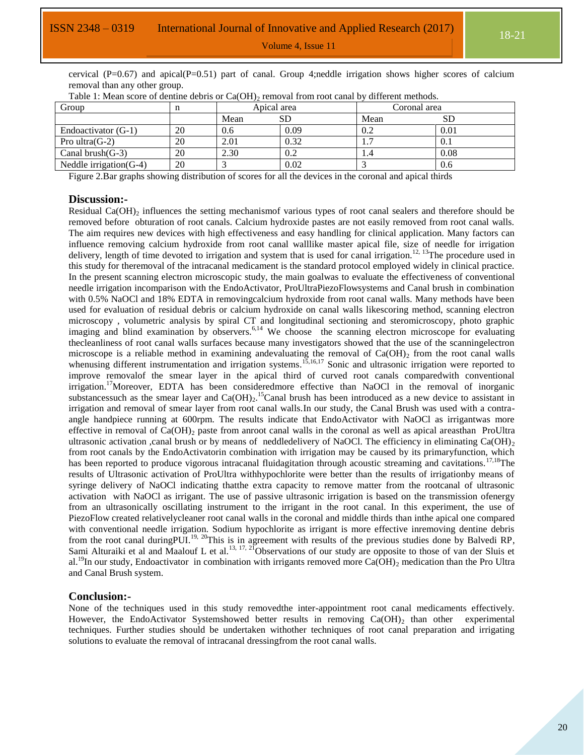cervical ( $P=0.67$ ) and apical( $P=0.51$ ) part of canal. Group 4;neddle irrigation shows higher scores of calcium removal than any other group.

| Group                      |    | Apical area |      | Coronal area |      |
|----------------------------|----|-------------|------|--------------|------|
|                            |    | Mean        |      | Mean         | SD   |
| Endoactivator (G-1)        | 20 | 0.6         | 0.09 | 0.2          | 0.01 |
| Pro ultra $(G-2)$          | 20 | 2.01        | 0.32 | .            | 0.1  |
| Canal brush $(G-3)$        | 20 | 2.30        | 0.2  | 1.4          | 0.08 |
| Neddle irrigation( $G-4$ ) | 20 |             | 0.02 |              | 0.6  |

Table 1: Mean score of dentine debris or  $Ca(OH)_{2}$  removal from root canal by different methods.

Figure 2.Bar graphs showing distribution of scores for all the devices in the coronal and apical thirds

### **Discussion:-**

Residual Ca(OH)<sub>2</sub> influences the setting mechanismof various types of root canal sealers and therefore should be removed before obturation of root canals. Calcium hydroxide pastes are not easily removed from root canal walls. The aim requires new devices with high effectiveness and easy handling for clinical application. Many factors can influence removing calcium hydroxide from root canal walllike master apical file, size of needle for irrigation delivery, length of time devoted to irrigation and system that is used for canal irrigation.<sup>12, 13</sup>The procedure used in this study for theremoval of the intracanal medicament is the standard protocol employed widely in clinical practice. In the present scanning electron microscopic study, the main goalwas to evaluate the effectiveness of conventional needle irrigation incomparison with the EndoActivator, ProUltraPiezoFlowsystems and Canal brush in combination with 0.5% NaOCl and 18% EDTA in removingcalcium hydroxide from root canal walls. Many methods have been used for evaluation of residual debris or calcium hydroxide on canal walls likescoring method, scanning electron microscopy , volumetric analysis by spiral CT and longitudinal sectioning and steromicroscopy, photo graphic imaging and blind examination by observers.<sup>6,14</sup> We choose the scanning electron microscope for evaluating thecleanliness of root canal walls surfaces because many investigators showed that the use of the scanningelectron microscope is a reliable method in examining andevaluating the removal of  $Ca(OH)_2$  from the root canal walls whenusing different instrumentation and irrigation systems.<sup>15,16,17</sup> Sonic and ultrasonic irrigation were reported to improve removalof the smear layer in the apical third of curved root canals comparedwith conventional irrigation.<sup>17</sup>Moreover, EDTA has been consideredmore effective than NaOCl in the removal of inorganic substancessuch as the smear layer and  $Ca(OH)_2$ .<sup>15</sup>Canal brush has been introduced as a new device to assistant in irrigation and removal of smear layer from root canal walls.In our study, the Canal Brush was used with a contraangle handpiece running at 600rpm. The results indicate that EndoActivator with NaOCl as irrigantwas more effective in removal of  $Ca(OH)_2$  paste from anroot canal walls in the coronal as well as apical areasthan ProUltra ultrasonic activation ,canal brush or by means of neddledelivery of NaOCl. The efficiency in eliminating  $Ca(OH)_{2}$ from root canals by the EndoActivatorin combination with irrigation may be caused by its primaryfunction, which has been reported to produce vigorous intracanal fluidagitation through acoustic streaming and cavitations.<sup>17,18</sup>The results of Ultrasonic activation of ProUltra withhypochlorite were better than the results of irrigationby means of syringe delivery of NaOCl indicating thatthe extra capacity to remove matter from the rootcanal of ultrasonic activation with NaOCl as irrigant. The use of passive ultrasonic irrigation is based on the transmission ofenergy from an ultrasonically oscillating instrument to the irrigant in the root canal. In this experiment, the use of PiezoFlow created relativelycleaner root canal walls in the coronal and middle thirds than inthe apical one compared with conventional needle irrigation. Sodium hypochlorite as irrigant is more effective inremoving dentine debris from the root canal during PUI.<sup>19, 20</sup>This is in agreement with results of the previous studies done by Balvedi RP, Sami Alturaiki et al and Maalouf L et al.<sup>13, 17, 21</sup>Observations of our study are opposite to those of van der Sluis et al.<sup>19</sup>In our study, Endoactivator in combination with irrigants removed more Ca(OH)<sub>2</sub> medication than the Pro Ultra and Canal Brush system.

#### **Conclusion:-**

None of the techniques used in this study removedthe inter-appointment root canal medicaments effectively. However, the EndoActivator Systemshowed better results in removing  $Ca(OH)_2$  than other experimental techniques. Further studies should be undertaken withother techniques of root canal preparation and irrigating solutions to evaluate the removal of intracanal dressingfrom the root canal walls.